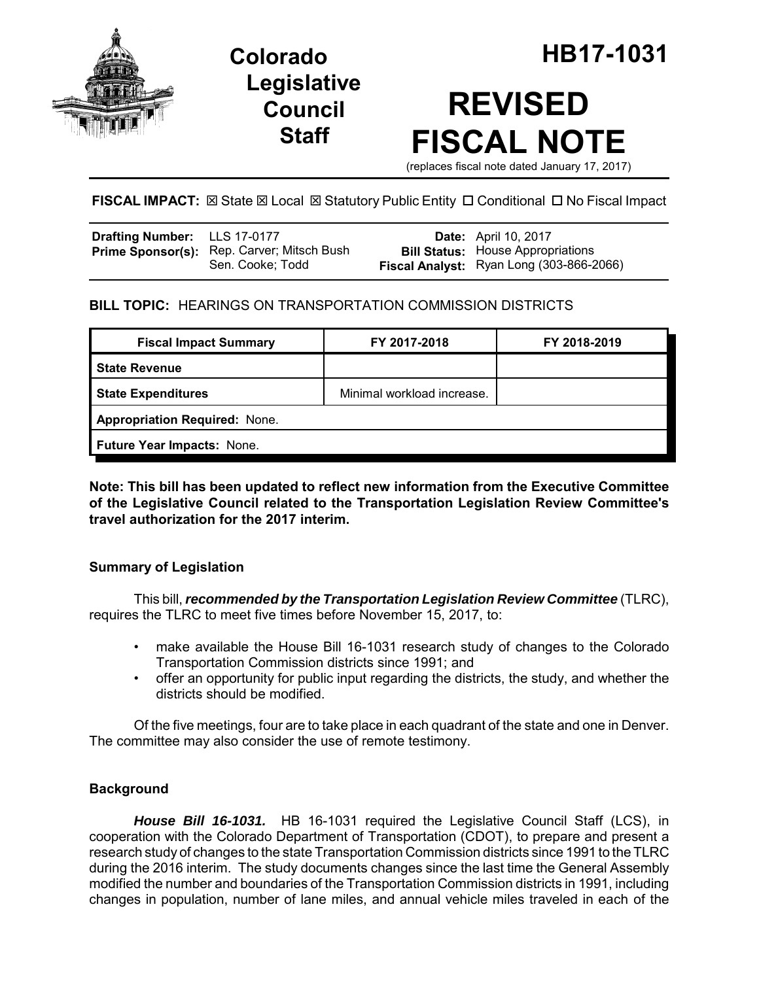

**Legislative Council Staff**

# **REVISED FISCAL NOTE**

(replaces fiscal note dated January 17, 2017)

**FISCAL IMPACT:**  $\boxtimes$  **State**  $\boxtimes$  **Local**  $\boxtimes$  **Statutory Public Entity □ Conditional □ No Fiscal Impact** 

| Drafting Number: LLS 17-0177 |                                                                | <b>Date:</b> April 10, 2017                                                          |
|------------------------------|----------------------------------------------------------------|--------------------------------------------------------------------------------------|
|                              | Prime Sponsor(s): Rep. Carver; Mitsch Bush<br>Sen. Cooke; Todd | <b>Bill Status:</b> House Appropriations<br>Fiscal Analyst: Ryan Long (303-866-2066) |

### **BILL TOPIC:** HEARINGS ON TRANSPORTATION COMMISSION DISTRICTS

| <b>Fiscal Impact Summary</b>         | FY 2017-2018               | FY 2018-2019 |  |  |
|--------------------------------------|----------------------------|--------------|--|--|
| <b>State Revenue</b>                 |                            |              |  |  |
| <b>State Expenditures</b>            | Minimal workload increase. |              |  |  |
| <b>Appropriation Required: None.</b> |                            |              |  |  |
| Future Year Impacts: None.           |                            |              |  |  |
|                                      |                            |              |  |  |

**Note: This bill has been updated to reflect new information from the Executive Committee of the Legislative Council related to the Transportation Legislation Review Committee's travel authorization for the 2017 interim.** 

#### **Summary of Legislation**

This bill, *recommended by the Transportation Legislation Review Committee* (TLRC), requires the TLRC to meet five times before November 15, 2017, to:

- make available the House Bill 16-1031 research study of changes to the Colorado Transportation Commission districts since 1991; and
- offer an opportunity for public input regarding the districts, the study, and whether the districts should be modified.

Of the five meetings, four are to take place in each quadrant of the state and one in Denver. The committee may also consider the use of remote testimony.

#### **Background**

*House Bill 16-1031.* HB 16-1031 required the Legislative Council Staff (LCS), in cooperation with the Colorado Department of Transportation (CDOT), to prepare and present a research study of changes to the state Transportation Commission districts since 1991 to the TLRC during the 2016 interim. The study documents changes since the last time the General Assembly modified the number and boundaries of the Transportation Commission districts in 1991, including changes in population, number of lane miles, and annual vehicle miles traveled in each of the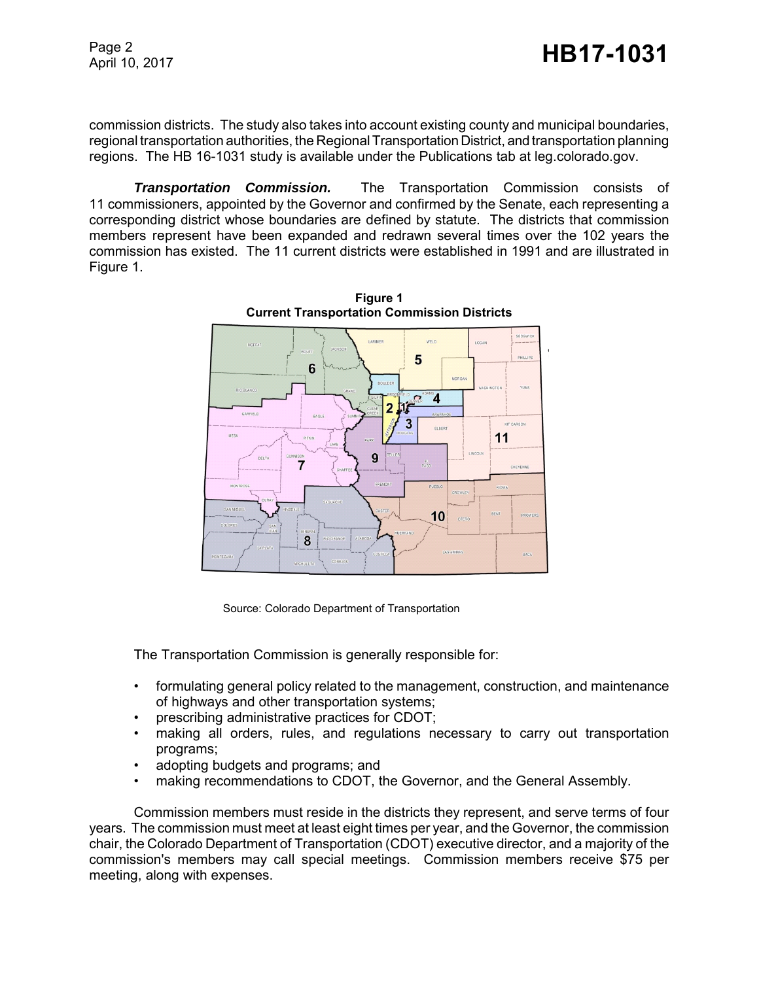commission districts. The study also takes into account existing county and municipal boundaries, regional transportation authorities, the Regional Transportation District, and transportation planning regions. The HB 16-1031 study is available under the Publications tab at leg.colorado.gov.

*Transportation Commission.* The Transportation Commission consists of 11 commissioners, appointed by the Governor and confirmed by the Senate, each representing a corresponding district whose boundaries are defined by statute. The districts that commission members represent have been expanded and redrawn several times over the 102 years the commission has existed. The 11 current districts were established in 1991 and are illustrated in Figure 1.



**Figure 1 Current Transportation Commission Districts**

Source: Colorado Department of Transportation

The Transportation Commission is generally responsible for:

- formulating general policy related to the management, construction, and maintenance of highways and other transportation systems;
- prescribing administrative practices for CDOT;
- making all orders, rules, and regulations necessary to carry out transportation programs;
- adopting budgets and programs; and
- making recommendations to CDOT, the Governor, and the General Assembly.

Commission members must reside in the districts they represent, and serve terms of four years. The commission must meet at least eight times per year, and the Governor, the commission chair, the Colorado Department of Transportation (CDOT) executive director, and a majority of the commission's members may call special meetings. Commission members receive \$75 per meeting, along with expenses.